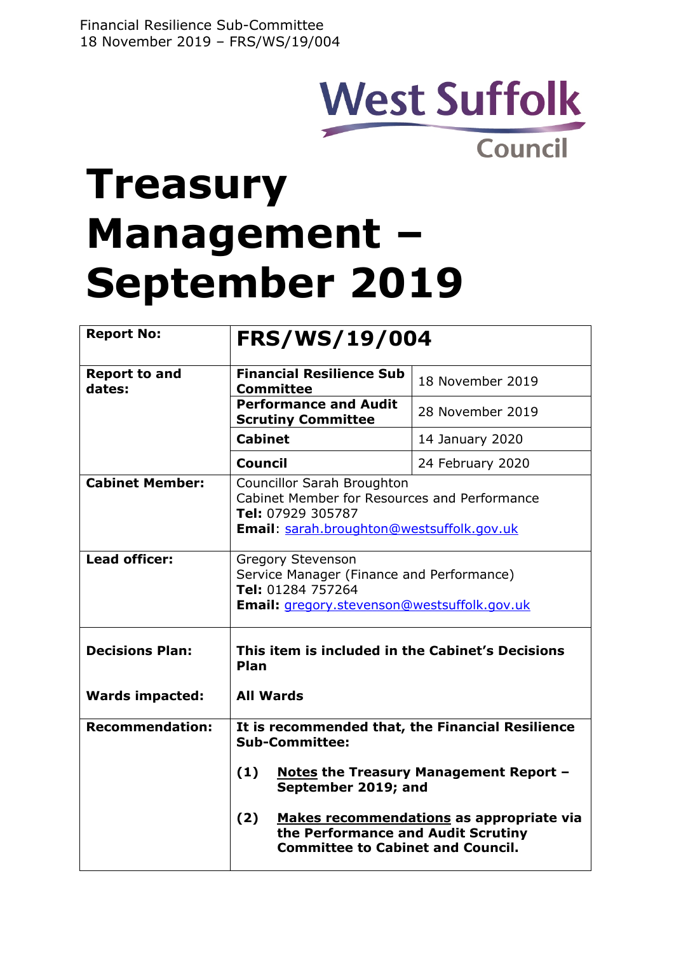## **West Suffolk Council**

# **Treasury Management – September 2019**

| <b>Report No:</b>              | <b>FRS/WS/19/004</b>                                                                                                                                |                  |  |  |
|--------------------------------|-----------------------------------------------------------------------------------------------------------------------------------------------------|------------------|--|--|
| <b>Report to and</b><br>dates: | <b>Financial Resilience Sub</b><br>18 November 2019<br><b>Committee</b>                                                                             |                  |  |  |
|                                | <b>Performance and Audit</b><br><b>Scrutiny Committee</b>                                                                                           | 28 November 2019 |  |  |
|                                | <b>Cabinet</b>                                                                                                                                      | 14 January 2020  |  |  |
|                                | <b>Council</b>                                                                                                                                      | 24 February 2020 |  |  |
| <b>Cabinet Member:</b>         | <b>Councillor Sarah Broughton</b><br>Cabinet Member for Resources and Performance<br>Tel: 07929 305787<br>Email: sarah.broughton@westsuffolk.gov.uk |                  |  |  |
| Lead officer:                  | <b>Gregory Stevenson</b><br>Service Manager (Finance and Performance)<br>Tel: 01284 757264<br>Email: gregory.stevenson@westsuffolk.gov.uk           |                  |  |  |
| <b>Decisions Plan:</b>         | This item is included in the Cabinet's Decisions<br>Plan                                                                                            |                  |  |  |
| <b>Wards impacted:</b>         | <b>All Wards</b>                                                                                                                                    |                  |  |  |
| <b>Recommendation:</b>         | It is recommended that, the Financial Resilience<br><b>Sub-Committee:</b>                                                                           |                  |  |  |
|                                | (1)<br><b>Notes the Treasury Management Report -</b><br>September 2019; and                                                                         |                  |  |  |
|                                | (2)<br>Makes recommendations as appropriate via<br>the Performance and Audit Scrutiny<br><b>Committee to Cabinet and Council.</b>                   |                  |  |  |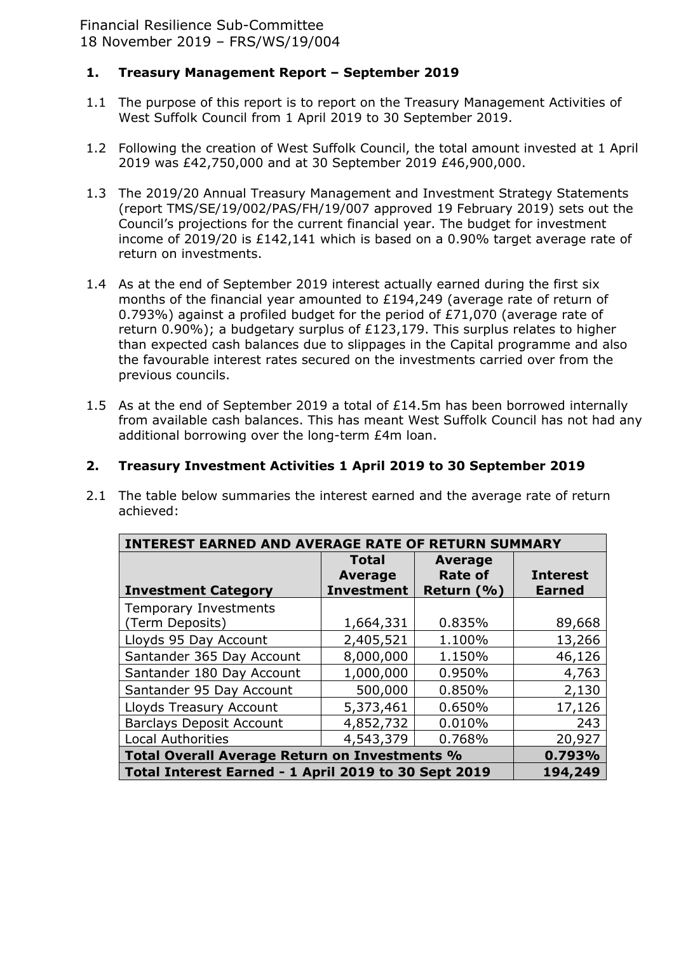## **1. Treasury Management Report – September 2019**

- 1.1 The purpose of this report is to report on the Treasury Management Activities of West Suffolk Council from 1 April 2019 to 30 September 2019.
- 1.2 Following the creation of West Suffolk Council, the total amount invested at 1 April 2019 was £42,750,000 and at 30 September 2019 £46,900,000.
- 1.3 The 2019/20 Annual Treasury Management and Investment Strategy Statements (report TMS/SE/19/002/PAS/FH/19/007 approved 19 February 2019) sets out the Council's projections for the current financial year. The budget for investment income of 2019/20 is £142,141 which is based on a 0.90% target average rate of return on investments.
- 1.4 As at the end of September 2019 interest actually earned during the first six months of the financial year amounted to £194,249 (average rate of return of 0.793%) against a profiled budget for the period of £71,070 (average rate of return 0.90%); a budgetary surplus of £123,179. This surplus relates to higher than expected cash balances due to slippages in the Capital programme and also the favourable interest rates secured on the investments carried over from the previous councils.
- 1.5 As at the end of September 2019 a total of £14.5m has been borrowed internally from available cash balances. This has meant West Suffolk Council has not had any additional borrowing over the long-term £4m loan.

### **2. Treasury Investment Activities 1 April 2019 to 30 September 2019**

2.1 The table below summaries the interest earned and the average rate of return achieved:

| <b>INTEREST EARNED AND AVERAGE RATE OF</b><br><b>RETURN SUMMARY</b> |                   |                |                 |  |  |
|---------------------------------------------------------------------|-------------------|----------------|-----------------|--|--|
|                                                                     | <b>Total</b>      | <b>Average</b> |                 |  |  |
|                                                                     | <b>Average</b>    | <b>Rate of</b> | <b>Interest</b> |  |  |
| <b>Investment Category</b>                                          | <b>Investment</b> | Return (%)     | <b>Earned</b>   |  |  |
| <b>Temporary Investments</b>                                        |                   |                |                 |  |  |
| (Term Deposits)                                                     | 1,664,331         | 0.835%         | 89,668          |  |  |
| Lloyds 95 Day Account                                               | 2,405,521         | 1.100%         | 13,266          |  |  |
| Santander 365 Day Account                                           | 8,000,000         | 1.150%         | 46,126          |  |  |
| Santander 180 Day Account                                           | 1,000,000         | 0.950%         | 4,763           |  |  |
| Santander 95 Day Account                                            | 500,000           | 0.850%         | 2,130           |  |  |
| <b>Lloyds Treasury Account</b>                                      | 5,373,461         | 0.650%         | 17,126          |  |  |
| <b>Barclays Deposit Account</b>                                     | 4,852,732         | 0.010%         | 243             |  |  |
| <b>Local Authorities</b>                                            | 4,543,379         | 0.768%         | 20,927          |  |  |
| Total Overall Average Return on Investments %                       |                   |                |                 |  |  |
| Total Interest Earned - 1 April 2019 to 30 Sept 2019                | 194,249           |                |                 |  |  |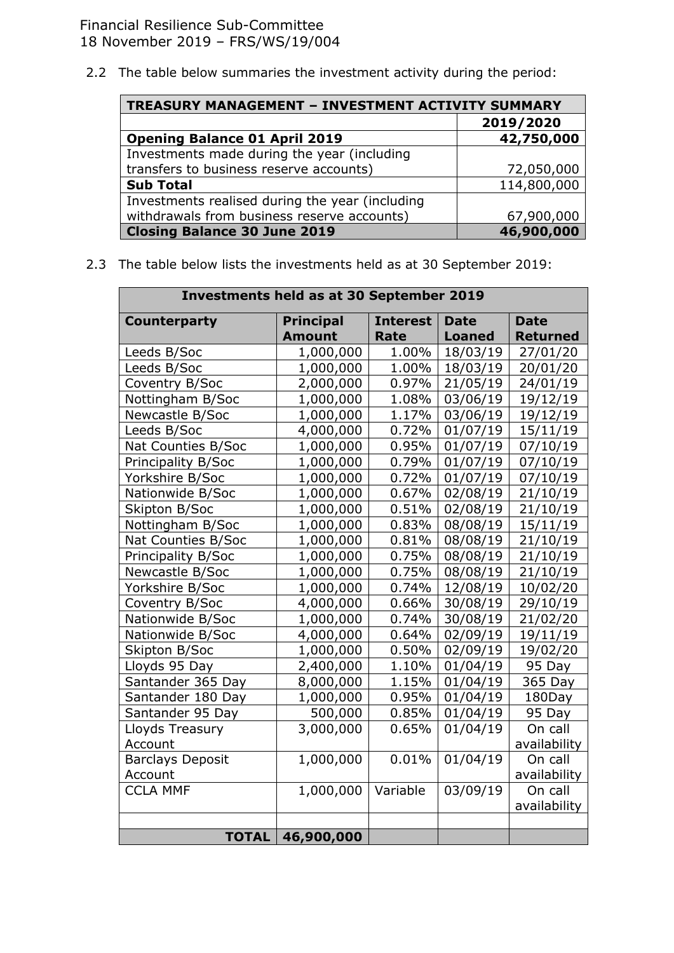2.2 The table below summaries the investment activity during the period:

| <b>TREASURY MANAGEMENT - INVESTMENT ACTIVITY SUMMARY</b> |             |  |  |  |
|----------------------------------------------------------|-------------|--|--|--|
|                                                          | 2019/2020   |  |  |  |
| <b>Opening Balance 01 April 2019</b>                     | 42,750,000  |  |  |  |
| Investments made during the year (including              |             |  |  |  |
| transfers to business reserve accounts)                  | 72,050,000  |  |  |  |
| <b>Sub Total</b>                                         | 114,800,000 |  |  |  |
| Investments realised during the year (including          |             |  |  |  |
| withdrawals from business reserve accounts)              | 67,900,000  |  |  |  |
| <b>Closing Balance 30 June 2019</b>                      | 46,900,000  |  |  |  |

2.3 The table below lists the investments held as at 30 September 2019:

| <b>Investments held as at 30 September 2019</b> |                                   |                         |                              |                                |  |  |
|-------------------------------------------------|-----------------------------------|-------------------------|------------------------------|--------------------------------|--|--|
| <b>Counterparty</b>                             | <b>Principal</b><br><b>Amount</b> | <b>Interest</b><br>Rate | <b>Date</b><br><b>Loaned</b> | <b>Date</b><br><b>Returned</b> |  |  |
| Leeds B/Soc                                     | 1,000,000                         | 1.00%                   | 18/03/19                     | 27/01/20                       |  |  |
| Leeds B/Soc                                     | 1,000,000                         | 1.00%                   | 18/03/19                     | 20/01/20                       |  |  |
| Coventry B/Soc                                  | 2,000,000                         | 0.97%                   | 21/05/19                     | 24/01/19                       |  |  |
| Nottingham B/Soc                                | 1,000,000                         | 1.08%                   | 03/06/19                     | 19/12/19                       |  |  |
| Newcastle B/Soc                                 | 1,000,000                         | 1.17%                   | 03/06/19                     | 19/12/19                       |  |  |
| Leeds B/Soc                                     | 4,000,000                         | 0.72%                   | 01/07/19                     | 15/11/19                       |  |  |
| Nat Counties B/Soc                              | 1,000,000                         | 0.95%                   | 01/07/19                     | 07/10/19                       |  |  |
| Principality B/Soc                              | 1,000,000                         | 0.79%                   | 01/07/19                     | 07/10/19                       |  |  |
| Yorkshire B/Soc                                 | 1,000,000                         | 0.72%                   | 01/07/19                     | 07/10/19                       |  |  |
| Nationwide B/Soc                                | 1,000,000                         | 0.67%                   | 02/08/19                     | 21/10/19                       |  |  |
| Skipton B/Soc                                   | 1,000,000                         | 0.51%                   | 02/08/19                     | 21/10/19                       |  |  |
| Nottingham B/Soc                                | 1,000,000                         | 0.83%                   | 08/08/19                     | 15/11/19                       |  |  |
| Nat Counties B/Soc                              | 1,000,000                         | 0.81%                   | 08/08/19                     | 21/10/19                       |  |  |
| Principality B/Soc                              | 1,000,000                         | 0.75%                   | 08/08/19                     | 21/10/19                       |  |  |
| Newcastle B/Soc                                 | 1,000,000                         | 0.75%                   | 08/08/19                     | 21/10/19                       |  |  |
| Yorkshire B/Soc                                 | 1,000,000                         | 0.74%                   | 12/08/19                     | 10/02/20                       |  |  |
| Coventry B/Soc                                  | 4,000,000                         | 0.66%                   | 30/08/19                     | 29/10/19                       |  |  |
| Nationwide B/Soc                                | 1,000,000                         | 0.74%                   | 30/08/19                     | 21/02/20                       |  |  |
| Nationwide B/Soc                                | 4,000,000                         | 0.64%                   | 02/09/19                     | 19/11/19                       |  |  |
| Skipton B/Soc                                   | 1,000,000                         | 0.50%                   | 02/09/19                     | 19/02/20                       |  |  |
| Lloyds 95 Day                                   | 2,400,000                         | 1.10%                   | 01/04/19                     | 95 Day                         |  |  |
| Santander 365 Day                               | 8,000,000                         | 1.15%                   | 01/04/19                     | 365 Day                        |  |  |
| Santander 180 Day                               | 1,000,000                         | 0.95%                   | 01/04/19                     | 180Day                         |  |  |
| Santander 95 Day                                | 500,000                           | 0.85%                   | 01/04/19                     | 95 Day                         |  |  |
| Lloyds Treasury                                 | 3,000,000                         | 0.65%                   | 01/04/19                     | On call                        |  |  |
| Account                                         |                                   |                         |                              | availability                   |  |  |
| <b>Barclays Deposit</b>                         | 1,000,000                         | 0.01%                   | 01/04/19                     | On call                        |  |  |
| Account                                         |                                   |                         |                              | availability                   |  |  |
| <b>CCLA MMF</b>                                 | 1,000,000                         | Variable                | 03/09/19                     | On call                        |  |  |
|                                                 |                                   |                         |                              | availability                   |  |  |
|                                                 |                                   |                         |                              |                                |  |  |
| <b>TOTAL</b>                                    | 46,900,000                        |                         |                              |                                |  |  |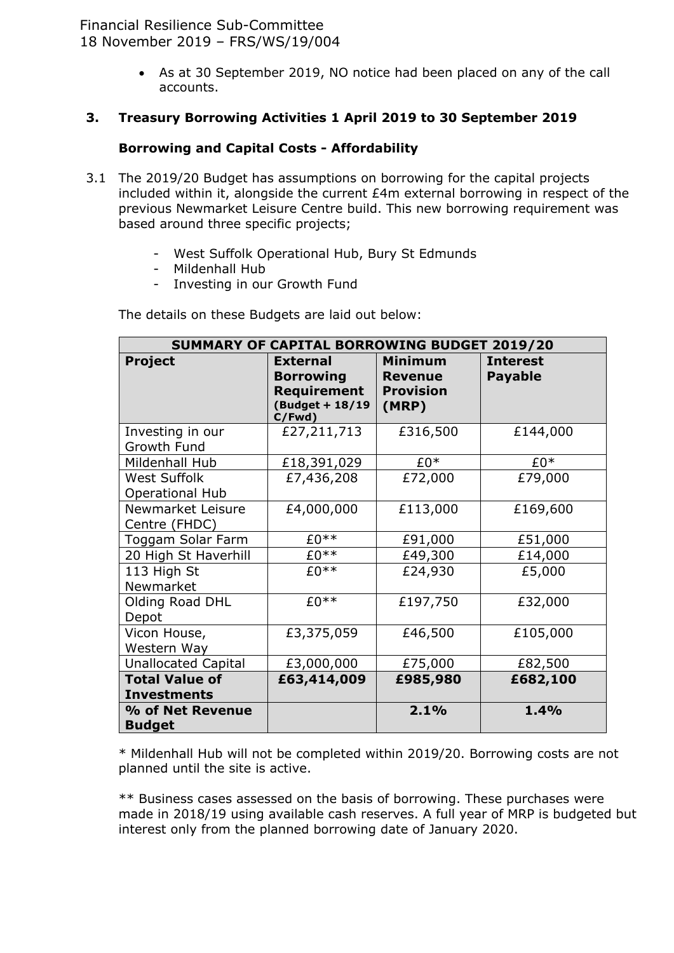> As at 30 September 2019, NO notice had been placed on any of the call accounts.

#### **3. Treasury Borrowing Activities 1 April 2019 to 30 September 2019**

## **Borrowing and Capital Costs - Affordability**

- 3.1 The 2019/20 Budget has assumptions on borrowing for the capital projects included within it, alongside the current £4m external borrowing in respect of the previous Newmarket Leisure Centre build. This new borrowing requirement was based around three specific projects;
	- West Suffolk Operational Hub, Bury St Edmunds
	- Mildenhall Hub
	- Investing in our Growth Fund

The details on these Budgets are laid out below:

| SUMMARY OF CAPITAL BORROWING BUDGET 2019/20   |                                                                                 |                                                               |                                   |  |  |  |
|-----------------------------------------------|---------------------------------------------------------------------------------|---------------------------------------------------------------|-----------------------------------|--|--|--|
| Project                                       | <b>External</b><br><b>Borrowing</b><br>Requirement<br>(Budget + 18/19<br>C/Fwd) | <b>Minimum</b><br><b>Revenue</b><br><b>Provision</b><br>(MRP) | <b>Interest</b><br><b>Payable</b> |  |  |  |
| Investing in our                              | £27,211,713                                                                     | £316,500                                                      | £144,000                          |  |  |  |
| Growth Fund                                   |                                                                                 |                                                               |                                   |  |  |  |
| Mildenhall Hub                                | £18,391,029                                                                     | $£0*$                                                         | £0*                               |  |  |  |
| <b>West Suffolk</b><br><b>Operational Hub</b> | £7,436,208                                                                      | £72,000                                                       | £79,000                           |  |  |  |
| Newmarket Leisure<br>Centre (FHDC)            | £4,000,000                                                                      | £113,000                                                      | £169,600                          |  |  |  |
| Toggam Solar Farm                             | $£0**$                                                                          | £91,000                                                       | £51,000                           |  |  |  |
| 20 High St Haverhill                          | $E0**$                                                                          | £49,300                                                       | £14,000                           |  |  |  |
| 113 High St<br>Newmarket                      | $£0**$                                                                          | £24,930                                                       | £5,000                            |  |  |  |
| Olding Road DHL<br>Depot                      | $£0**$                                                                          | £197,750                                                      | £32,000                           |  |  |  |
| Vicon House,<br>Western Way                   | £3,375,059                                                                      | £46,500                                                       | £105,000                          |  |  |  |
| <b>Unallocated Capital</b>                    | £3,000,000                                                                      | £75,000                                                       | £82,500                           |  |  |  |
| <b>Total Value of</b><br><b>Investments</b>   | £63,414,009                                                                     | £985,980                                                      | £682,100                          |  |  |  |
| % of Net Revenue<br><b>Budget</b>             |                                                                                 | 2.1%                                                          | 1.4%                              |  |  |  |

\* Mildenhall Hub will not be completed within 2019/20. Borrowing costs are not planned until the site is active.

\*\* Business cases assessed on the basis of borrowing. These purchases were made in 2018/19 using available cash reserves. A full year of MRP is budgeted but interest only from the planned borrowing date of January 2020.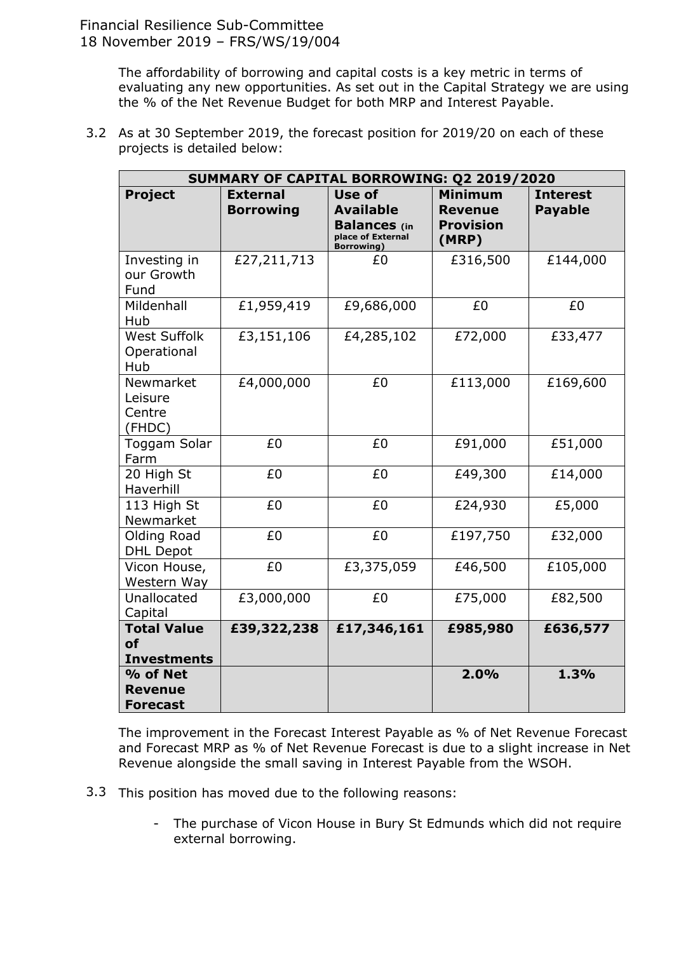The affordability of borrowing and capital costs is a key metric in terms of evaluating any new opportunities. As set out in the Capital Strategy we are using the % of the Net Revenue Budget for both MRP and Interest Payable.

3.2 As at 30 September 2019, the forecast position for 2019/20 on each of these projects is detailed below:

| SUMMARY OF CAPITAL BORROWING: Q2 2019/2020            |                                     |                                                                                              |                                                               |                                   |  |  |
|-------------------------------------------------------|-------------------------------------|----------------------------------------------------------------------------------------------|---------------------------------------------------------------|-----------------------------------|--|--|
| <b>Project</b>                                        | <b>External</b><br><b>Borrowing</b> | Use of<br><b>Available</b><br><b>Balances</b> (in<br>place of External<br><b>Borrowing</b> ) | <b>Minimum</b><br><b>Revenue</b><br><b>Provision</b><br>(MRP) | <b>Interest</b><br><b>Payable</b> |  |  |
| Investing in<br>our Growth<br>Fund                    | £27,211,713                         | £0                                                                                           | £316,500                                                      | £144,000                          |  |  |
| Mildenhall<br>Hub                                     | £1,959,419                          | £9,686,000                                                                                   | £0                                                            | £0                                |  |  |
| <b>West Suffolk</b><br>Operational<br>Hub             | £3,151,106                          | £4,285,102                                                                                   | £72,000                                                       | £33,477                           |  |  |
| Newmarket<br>Leisure<br>Centre<br>(FHDC)              | £4,000,000                          | £0                                                                                           | £113,000                                                      | £169,600                          |  |  |
| Toggam Solar<br>Farm                                  | £0                                  | £0                                                                                           | £91,000                                                       | £51,000                           |  |  |
| 20 High St<br>Haverhill                               | £0                                  | £0                                                                                           | £49,300                                                       | £14,000                           |  |  |
| 113 High St<br>Newmarket                              | £0                                  | £0                                                                                           | £24,930                                                       | £5,000                            |  |  |
| <b>Olding Road</b><br><b>DHL Depot</b>                | £0                                  | £0                                                                                           | £197,750                                                      | £32,000                           |  |  |
| Vicon House,<br>Western Way                           | £0                                  | £3,375,059                                                                                   | £46,500                                                       | £105,000                          |  |  |
| Unallocated<br>Capital                                | £3,000,000                          | £0                                                                                           | £75,000                                                       | £82,500                           |  |  |
| <b>Total Value</b><br><b>of</b><br><b>Investments</b> | £39,322,238                         | £17,346,161                                                                                  | £985,980                                                      | £636,577                          |  |  |
| % of Net<br><b>Revenue</b><br><b>Forecast</b>         |                                     |                                                                                              | 2.0%                                                          | 1.3%                              |  |  |

The improvement in the Forecast Interest Payable as % of Net Revenue Forecast and Forecast MRP as % of Net Revenue Forecast is due to a slight increase in Net Revenue alongside the small saving in Interest Payable from the WSOH.

- 3.3 This position has moved due to the following reasons:
	- The purchase of Vicon House in Bury St Edmunds which did not require external borrowing.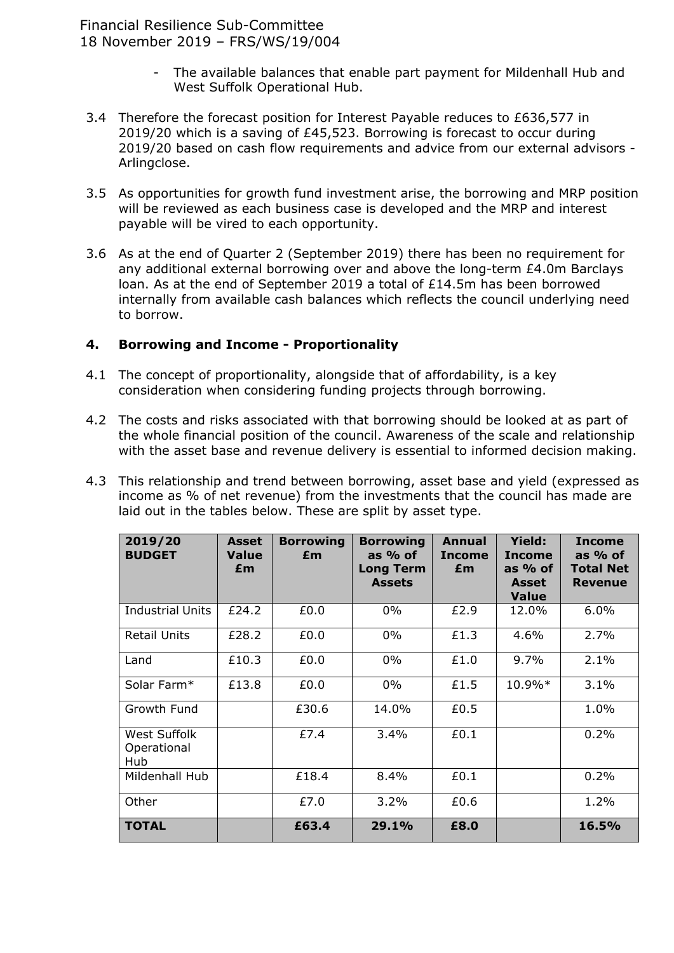- The available balances that enable part payment for Mildenhall Hub and West Suffolk Operational Hub.
- 3.4 Therefore the forecast position for Interest Payable reduces to £636,577 in 2019/20 which is a saving of £45,523. Borrowing is forecast to occur during 2019/20 based on cash flow requirements and advice from our external advisors - Arlingclose.
- 3.5 As opportunities for growth fund investment arise, the borrowing and MRP position will be reviewed as each business case is developed and the MRP and interest payable will be vired to each opportunity.
- 3.6 As at the end of Quarter 2 (September 2019) there has been no requirement for any additional external borrowing over and above the long-term £4.0m Barclays loan. As at the end of September 2019 a total of £14.5m has been borrowed internally from available cash balances which reflects the council underlying need to borrow.

#### **4. Borrowing and Income - Proportionality**

- 4.1 The concept of proportionality, alongside that of affordability, is a key consideration when considering funding projects through borrowing.
- 4.2 The costs and risks associated with that borrowing should be looked at as part of the whole financial position of the council. Awareness of the scale and relationship with the asset base and revenue delivery is essential to informed decision making.
- 4.3 This relationship and trend between borrowing, asset base and yield (expressed as income as % of net revenue) from the investments that the council has made are laid out in the tables below. These are split by asset type.

| 2019/20<br><b>BUDGET</b>           | <b>Asset</b><br><b>Value</b><br>£m | <b>Borrowing</b><br>£m | <b>Borrowing</b><br>as $%$ of<br><b>Long Term</b><br><b>Assets</b> | <b>Annual</b><br><b>Income</b><br>£m | <b>Yield:</b><br><b>Income</b><br>as % of<br>Asset<br><b>Value</b> | <b>Income</b><br>as % of<br><b>Total Net</b><br><b>Revenue</b> |
|------------------------------------|------------------------------------|------------------------|--------------------------------------------------------------------|--------------------------------------|--------------------------------------------------------------------|----------------------------------------------------------------|
| <b>Industrial Units</b>            | £24.2                              | £0.0                   | $0\%$                                                              | £2.9                                 | 12.0%                                                              | 6.0%                                                           |
| <b>Retail Units</b>                | £28.2                              | £0.0                   | 0%                                                                 | £1.3                                 | 4.6%                                                               | 2.7%                                                           |
| Land                               | £10.3                              | £0.0                   | $0\%$                                                              | £1.0                                 | 9.7%                                                               | 2.1%                                                           |
| Solar Farm*                        | £13.8                              | £0.0                   | 0%                                                                 | £1.5                                 | 10.9%*                                                             | 3.1%                                                           |
| Growth Fund                        |                                    | £30.6                  | 14.0%                                                              | £0.5                                 |                                                                    | 1.0%                                                           |
| West Suffolk<br>Operational<br>Hub |                                    | £7.4                   | 3.4%                                                               | £0.1                                 |                                                                    | 0.2%                                                           |
| Mildenhall Hub                     |                                    | £18.4                  | 8.4%                                                               | £0.1                                 |                                                                    | 0.2%                                                           |
| Other                              |                                    | £7.0                   | 3.2%                                                               | £0.6                                 |                                                                    | 1.2%                                                           |
| <b>TOTAL</b>                       |                                    | £63.4                  | 29.1%                                                              | £8.0                                 |                                                                    | 16.5%                                                          |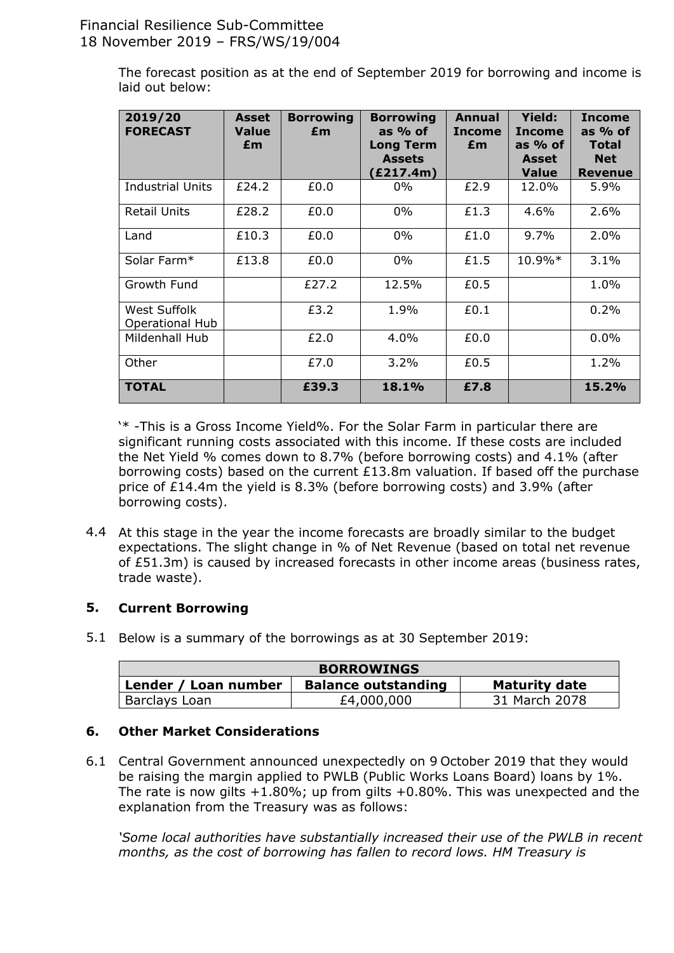The forecast position as at the end of September 2019 for borrowing and income is laid out below:

| 2019/20<br><b>FORECAST</b>      | <b>Asset</b><br><b>Value</b><br>£m | <b>Borrowing</b><br>£m | <b>Borrowing</b><br>as $%$ of<br><b>Long Term</b><br><b>Assets</b><br>E217.4m) | Annual<br><b>Income</b><br>£m | <b>Yield:</b><br><b>Income</b><br>as % of<br>Asset<br><b>Value</b> | <b>Income</b><br>as $%$ of<br><b>Total</b><br><b>Net</b><br><b>Revenue</b> |
|---------------------------------|------------------------------------|------------------------|--------------------------------------------------------------------------------|-------------------------------|--------------------------------------------------------------------|----------------------------------------------------------------------------|
| <b>Industrial Units</b>         | £24.2                              | £0.0                   | $0\%$                                                                          | £2.9                          | 12.0%                                                              | 5.9%                                                                       |
| <b>Retail Units</b>             | £28.2                              | £0.0                   | $0\%$                                                                          | £1.3                          | 4.6%                                                               | 2.6%                                                                       |
| Land                            | £10.3                              | £0.0                   | $0\%$                                                                          | £1.0                          | 9.7%                                                               | 2.0%                                                                       |
| Solar Farm*                     | £13.8                              | £0.0                   | $0\%$                                                                          | £1.5                          | $10.9\%*$                                                          | 3.1%                                                                       |
| Growth Fund                     |                                    | £27.2                  | 12.5%                                                                          | £0.5                          |                                                                    | 1.0%                                                                       |
| West Suffolk<br>Operational Hub |                                    | £3.2                   | 1.9%                                                                           | £0.1                          |                                                                    | 0.2%                                                                       |
| Mildenhall Hub                  |                                    | £2.0                   | 4.0%                                                                           | £0.0                          |                                                                    | 0.0%                                                                       |
| Other                           |                                    | £7.0                   | 3.2%                                                                           | £0.5                          |                                                                    | 1.2%                                                                       |
| <b>TOTAL</b>                    |                                    | £39.3                  | 18.1%                                                                          | £7.8                          |                                                                    | 15.2%                                                                      |

'\* -This is a Gross Income Yield%. For the Solar Farm in particular there are significant running costs associated with this income. If these costs are included the Net Yield % comes down to 8.7% (before borrowing costs) and 4.1% (after borrowing costs) based on the current £13.8m valuation. If based off the purchase price of £14.4m the yield is 8.3% (before borrowing costs) and 3.9% (after borrowing costs).

4.4 At this stage in the year the income forecasts are broadly similar to the budget expectations. The slight change in % of Net Revenue (based on total net revenue of £51.3m) is caused by increased forecasts in other income areas (business rates, trade waste).

#### **5. Current Borrowing**

5.1 Below is a summary of the borrowings as at 30 September 2019:

| <b>BORROWINGS</b>                                                          |            |               |  |  |  |
|----------------------------------------------------------------------------|------------|---------------|--|--|--|
| <b>Maturity date</b><br><b>Balance outstanding</b><br>Lender / Loan number |            |               |  |  |  |
| Barclays Loan                                                              | £4,000,000 | 31 March 2078 |  |  |  |

#### **6. Other Market Considerations**

6.1 Central Government announced unexpectedly on 9 October 2019 that they would be raising the margin applied to PWLB (Public Works Loans Board) loans by 1%. The rate is now gilts  $+1.80\%$ ; up from gilts  $+0.80\%$ . This was unexpected and the explanation from the Treasury was as follows:

*'Some local authorities have substantially increased their use of the PWLB in recent months, as the cost of borrowing has fallen to record lows. HM Treasury is*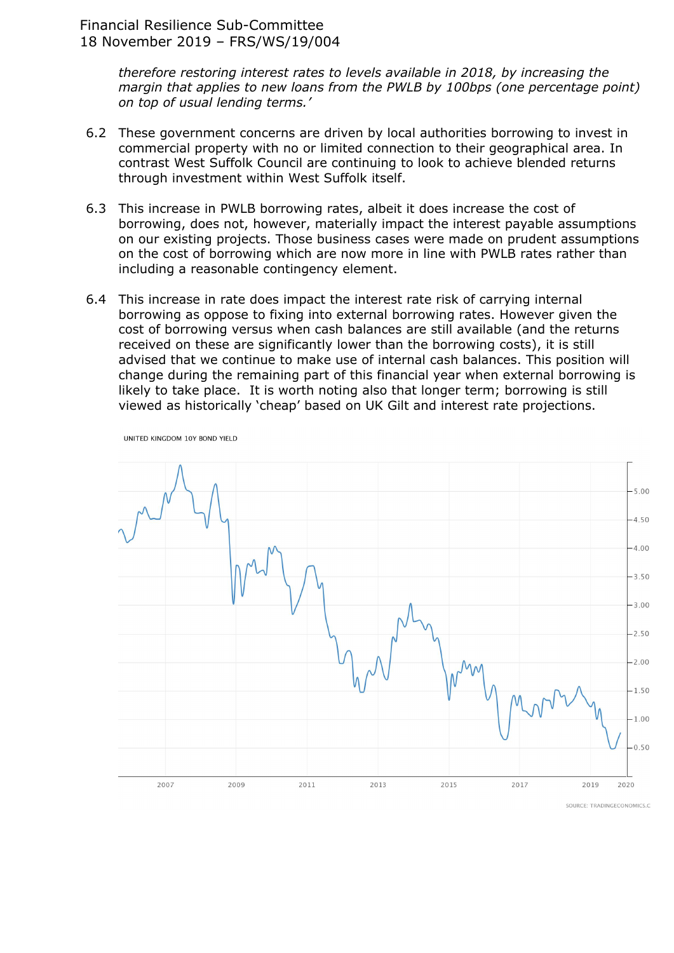UNITED KINGDOM 10Y BOND YIELD

*therefore restoring interest rates to levels available in 2018, by increasing the margin that applies to new loans from the PWLB by 100bps (one percentage point) on top of usual lending terms.'*

- 6.2 These government concerns are driven by local authorities borrowing to invest in commercial property with no or limited connection to their geographical area. In contrast West Suffolk Council are continuing to look to achieve blended returns through investment within West Suffolk itself.
- 6.3 This increase in PWLB borrowing rates, albeit it does increase the cost of borrowing, does not, however, materially impact the interest payable assumptions on our existing projects. Those business cases were made on prudent assumptions on the cost of borrowing which are now more in line with PWLB rates rather than including a reasonable contingency element.
- 6.4 This increase in rate does impact the interest rate risk of carrying internal borrowing as oppose to fixing into external borrowing rates. However given the cost of borrowing versus when cash balances are still available (and the returns received on these are significantly lower than the borrowing costs), it is still advised that we continue to make use of internal cash balances. This position will change during the remaining part of this financial year when external borrowing is likely to take place. It is worth noting also that longer term; borrowing is still viewed as historically 'cheap' based on UK Gilt and interest rate projections.



SOURCE: TRADINGECONOMICS.C